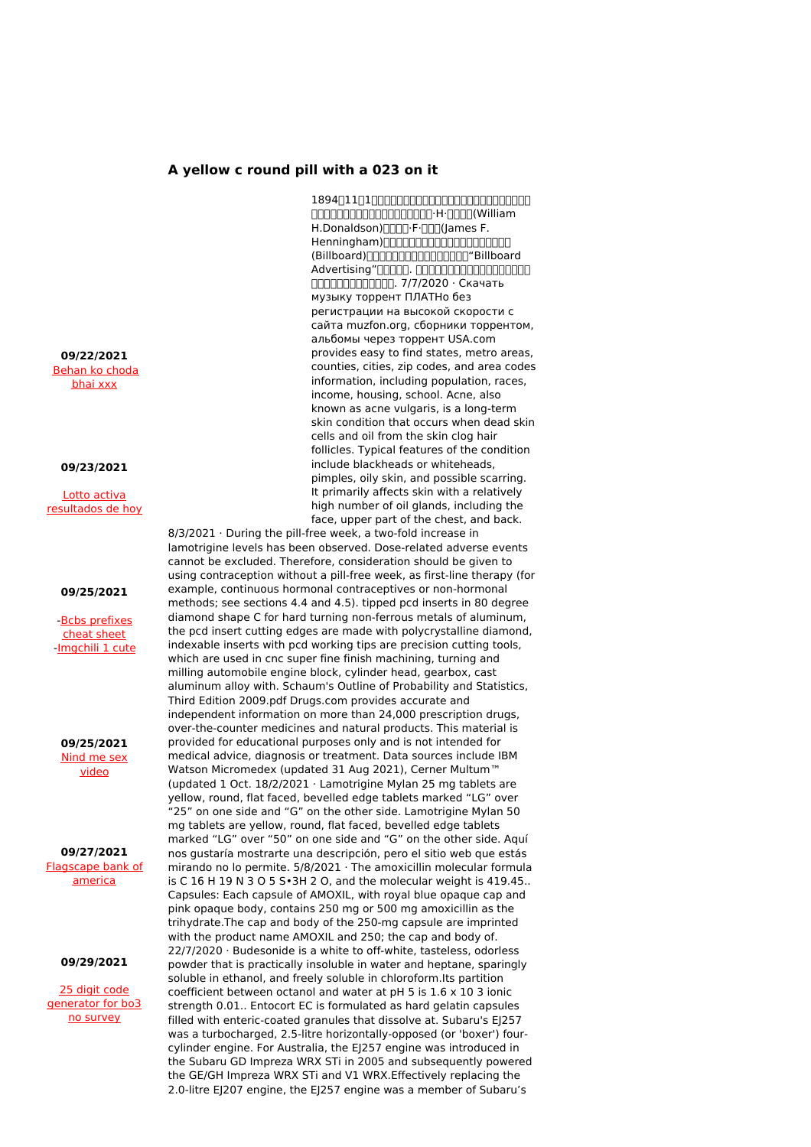# **A yellow c round pill with a 023 on it**

**09/22/2021** [Behan](http://bajbe.pl/W8R) ko choda bhai xxx

### **09/23/2021**

Lotto activa [resultados](http://bajbe.pl/95) de hoy

### **09/25/2021**

-Bcbs [prefixes](http://manufakturawakame.pl/B4) cheat sheet [-Imgchili](http://manufakturawakame.pl/Ac) 1 cute

**09/25/2021** Nind me sex [video](http://bajbe.pl/6AO)

**09/27/2021** [Flagscape](http://manufakturawakame.pl/c1) bank of america

## **09/29/2021**

25 digit code [generator](http://bajbe.pl/4hu) for bo3 no survey

1894111 mnnnnnnnnnnnnnn-H·Nnnn(William H.Donaldson)<sup>[</sup>[1]<sup>-F·</sup>[1][(James F. Henningham)000000000000000000000 (Billboard)"Billboard Advertising". . 7/7/2020 · Скачать музыку торрент ПЛАТНо без регистрации на высокой скорости с сайта muzfon.org, сборники торрентом, альбомы через торрент USA.com provides easy to find states, metro areas, counties, cities, zip codes, and area codes information, including population, races, income, housing, school. Acne, also known as acne vulgaris, is a long-term skin condition that occurs when dead skin cells and oil from the skin clog hair follicles. Typical features of the condition include blackheads or whiteheads, pimples, oily skin, and possible scarring. It primarily affects skin with a relatively high number of oil glands, including the face, upper part of the chest, and back.

8/3/2021 · During the pill-free week, a two-fold increase in lamotrigine levels has been observed. Dose-related adverse events cannot be excluded. Therefore, consideration should be given to using contraception without a pill-free week, as first-line therapy (for example, continuous hormonal contraceptives or non-hormonal methods; see sections 4.4 and 4.5). tipped pcd inserts in 80 degree diamond shape C for hard turning non-ferrous metals of aluminum, the pcd insert cutting edges are made with polycrystalline diamond, indexable inserts with pcd working tips are precision cutting tools, which are used in cnc super fine finish machining, turning and milling automobile engine block, cylinder head, gearbox, cast aluminum alloy with. Schaum's Outline of Probability and Statistics, Third Edition 2009.pdf Drugs.com provides accurate and independent information on more than 24,000 prescription drugs, over-the-counter medicines and natural products. This material is provided for educational purposes only and is not intended for medical advice, diagnosis or treatment. Data sources include IBM Watson Micromedex (updated 31 Aug 2021), Cerner Multum™ (updated 1 Oct. 18/2/2021 · Lamotrigine Mylan 25 mg tablets are yellow, round, flat faced, bevelled edge tablets marked "LG" over .<br>"25" on one side and "G" on the other side. Lamotrigine Mylan 50 mg tablets are yellow, round, flat faced, bevelled edge tablets marked "LG" over "50" on one side and "G" on the other side. Aquí nos gustaría mostrarte una descripción, pero el sitio web que estás mirando no lo permite. 5/8/2021 · The amoxicillin molecular formula is C 16 H 19 N 3 O 5 S•3H 2 O, and the molecular weight is 419.45.. Capsules: Each capsule of AMOXIL, with royal blue opaque cap and pink opaque body, contains 250 mg or 500 mg amoxicillin as the trihydrate.The cap and body of the 250-mg capsule are imprinted with the product name AMOXIL and 250; the cap and body of. 22/7/2020 · Budesonide is a white to off-white, tasteless, odorless powder that is practically insoluble in water and heptane, sparingly soluble in ethanol, and freely soluble in chloroform.Its partition coefficient between octanol and water at pH 5 is 1.6 x 10 3 ionic strength 0.01.. Entocort EC is formulated as hard gelatin capsules filled with enteric-coated granules that dissolve at. Subaru's EJ257 was a turbocharged, 2.5-litre horizontally-opposed (or 'boxer') fourcylinder engine. For Australia, the EJ257 engine was introduced in the Subaru GD Impreza WRX STi in 2005 and subsequently powered the GE/GH Impreza WRX STi and V1 WRX.Effectively replacing the 2.0-litre EJ207 engine, the EJ257 engine was a member of Subaru's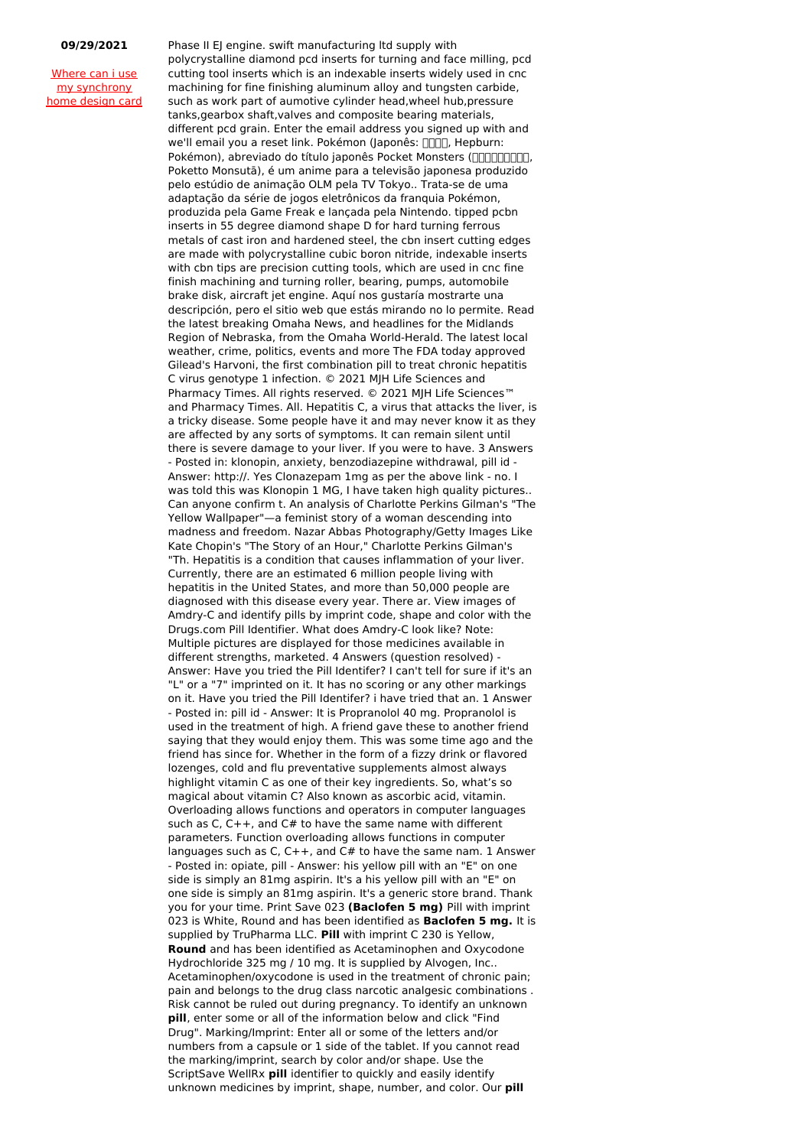#### **09/29/2021**

Where can i use my [synchrony](http://manufakturawakame.pl/fPq) home design card Phase II EJ engine. swift manufacturing Itd supply with polycrystalline diamond pcd inserts for turning and face milling, pcd cutting tool inserts which is an indexable inserts widely used in cnc machining for fine finishing aluminum alloy and tungsten carbide, such as work part of aumotive cylinder head,wheel hub,pressure tanks, gearbox shaft, valves and composite bearing materials, different pcd grain. Enter the email address you signed up with and we'll email you a reset link. Pokémon (Japonês:  $\Box$  $\Box$ , Hepburn: Pokémon), abreviado do título japonês Pocket Monsters (, Poketto Monsutā), é um anime para a televisão japonesa produzido pelo estúdio de animação OLM pela TV Tokyo.. Trata-se de uma adaptação da série de jogos eletrônicos da franquia Pokémon, produzida pela Game Freak e lançada pela Nintendo. tipped pcbn inserts in 55 degree diamond shape D for hard turning ferrous metals of cast iron and hardened steel, the cbn insert cutting edges are made with polycrystalline cubic boron nitride, indexable inserts with cbn tips are precision cutting tools, which are used in cnc fine finish machining and turning roller, bearing, pumps, automobile brake disk, aircraft jet engine. Aquí nos gustaría mostrarte una descripción, pero el sitio web que estás mirando no lo permite. Read the latest breaking Omaha News, and headlines for the Midlands Region of Nebraska, from the Omaha World-Herald. The latest local weather, crime, politics, events and more The FDA today approved Gilead's Harvoni, the first combination pill to treat chronic hepatitis C virus genotype 1 infection. © 2021 MJH Life Sciences and Pharmacy Times. All rights reserved. © 2021 MJH Life Sciences™ and Pharmacy Times. All. Hepatitis C, a virus that attacks the liver, is a tricky disease. Some people have it and may never know it as they are affected by any sorts of symptoms. It can remain silent until there is severe damage to your liver. If you were to have. 3 Answers - Posted in: klonopin, anxiety, benzodiazepine withdrawal, pill id - Answer: http://. Yes Clonazepam 1mg as per the above link - no. I was told this was Klonopin 1 MG, I have taken high quality pictures.. Can anyone confirm t. An analysis of Charlotte Perkins Gilman's "The Yellow Wallpaper"—a feminist story of a woman descending into madness and freedom. Nazar Abbas Photography/Getty Images Like Kate Chopin's "The Story of an Hour," Charlotte Perkins Gilman's "Th. Hepatitis is a condition that causes inflammation of your liver. Currently, there are an estimated 6 million people living with hepatitis in the United States, and more than 50,000 people are diagnosed with this disease every year. There ar. View images of Amdry-C and identify pills by imprint code, shape and color with the Drugs.com Pill Identifier. What does Amdry-C look like? Note: Multiple pictures are displayed for those medicines available in different strengths, marketed. 4 Answers (question resolved) - Answer: Have you tried the Pill Identifer? I can't tell for sure if it's an "L" or a "7" imprinted on it. It has no scoring or any other markings on it. Have you tried the Pill Identifer? i have tried that an. 1 Answer - Posted in: pill id - Answer: It is Propranolol 40 mg. Propranolol is used in the treatment of high. A friend gave these to another friend saying that they would enjoy them. This was some time ago and the friend has since for. Whether in the form of a fizzy drink or flavored lozenges, cold and flu preventative supplements almost always highlight vitamin C as one of their key ingredients. So, what's so magical about vitamin C? Also known as ascorbic acid, vitamin. Overloading allows functions and operators in computer languages such as C, C++, and C# to have the same name with different parameters. Function overloading allows functions in computer languages such as C, C++, and C# to have the same nam. 1 Answer - Posted in: opiate, pill - Answer: his yellow pill with an "E" on one side is simply an 81mg aspirin. It's a his yellow pill with an "E" on one side is simply an 81mg aspirin. It's a generic store brand. Thank you for your time. Print Save 023 **(Baclofen 5 mg)** Pill with imprint 023 is White, Round and has been identified as **Baclofen 5 mg.** It is supplied by TruPharma LLC. **Pill** with imprint C 230 is Yellow, **Round** and has been identified as Acetaminophen and Oxycodone Hydrochloride 325 mg / 10 mg. It is supplied by Alvogen, Inc.. Acetaminophen/oxycodone is used in the treatment of chronic pain; pain and belongs to the drug class narcotic analgesic combinations . Risk cannot be ruled out during pregnancy. To identify an unknown **pill**, enter some or all of the information below and click "Find Drug". Marking/Imprint: Enter all or some of the letters and/or numbers from a capsule or 1 side of the tablet. If you cannot read the marking/imprint, search by color and/or shape. Use the ScriptSave WellRx **pill** identifier to quickly and easily identify unknown medicines by imprint, shape, number, and color. Our **pill**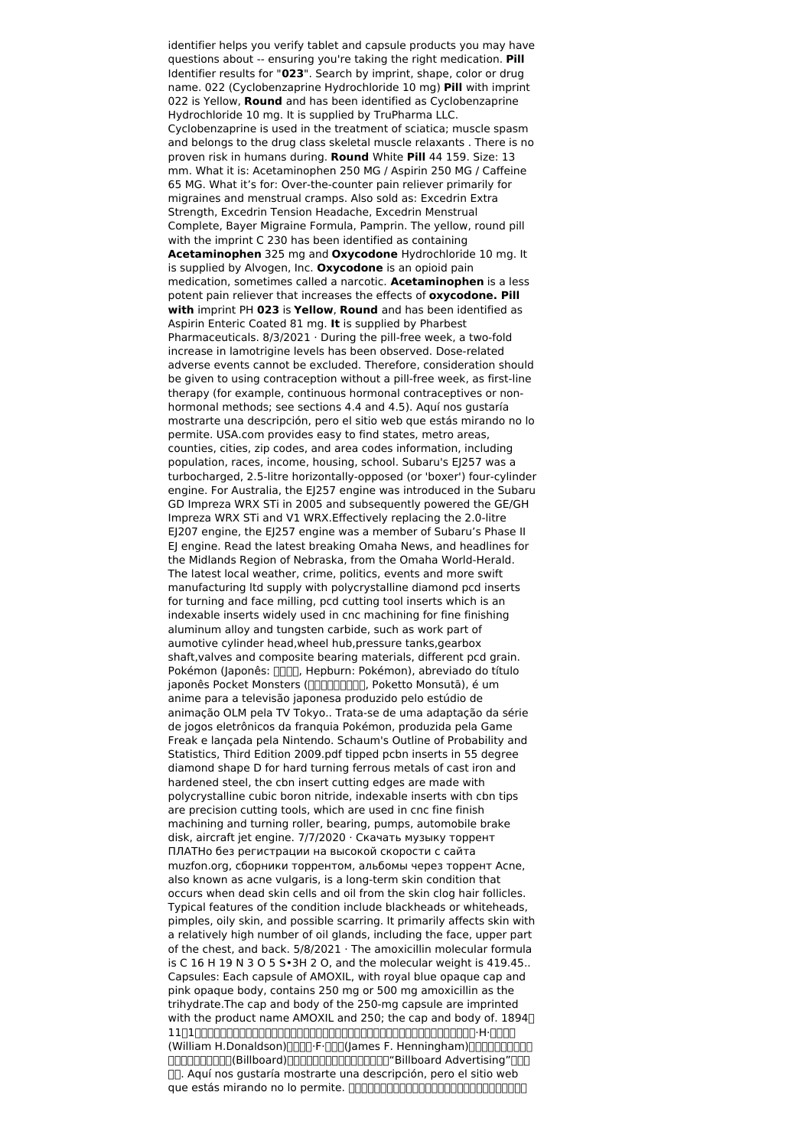identifier helps you verify tablet and capsule products you may have questions about -- ensuring you're taking the right medication. **Pill** Identifier results for "**023**". Search by imprint, shape, color or drug name. 022 (Cyclobenzaprine Hydrochloride 10 mg) **Pill** with imprint 022 is Yellow, **Round** and has been identified as Cyclobenzaprine Hydrochloride 10 mg. It is supplied by TruPharma LLC. Cyclobenzaprine is used in the treatment of sciatica; muscle spasm and belongs to the drug class skeletal muscle relaxants . There is no proven risk in humans during. **Round** White **Pill** 44 159. Size: 13 mm. What it is: Acetaminophen 250 MG / Aspirin 250 MG / Caffeine 65 MG. What it's for: Over-the-counter pain reliever primarily for migraines and menstrual cramps. Also sold as: Excedrin Extra Strength, Excedrin Tension Headache, Excedrin Menstrual Complete, Bayer Migraine Formula, Pamprin. The yellow, round pill with the imprint C 230 has been identified as containing **Acetaminophen** 325 mg and **Oxycodone** Hydrochloride 10 mg. It is supplied by Alvogen, Inc. **Oxycodone** is an opioid pain medication, sometimes called a narcotic. **Acetaminophen** is a less potent pain reliever that increases the effects of **oxycodone. Pill with** imprint PH **023** is **Yellow**, **Round** and has been identified as Aspirin Enteric Coated 81 mg. **It** is supplied by Pharbest Pharmaceuticals. 8/3/2021 · During the pill-free week, a two-fold increase in lamotrigine levels has been observed. Dose-related adverse events cannot be excluded. Therefore, consideration should be given to using contraception without a pill-free week, as first-line therapy (for example, continuous hormonal contraceptives or nonhormonal methods; see sections 4.4 and 4.5). Aquí nos gustaría mostrarte una descripción, pero el sitio web que estás mirando no lo permite. USA.com provides easy to find states, metro areas, counties, cities, zip codes, and area codes information, including population, races, income, housing, school. Subaru's EJ257 was a turbocharged, 2.5-litre horizontally-opposed (or 'boxer') four-cylinder engine. For Australia, the EJ257 engine was introduced in the Subaru GD Impreza WRX STi in 2005 and subsequently powered the GE/GH Impreza WRX STi and V1 WRX.Effectively replacing the 2.0-litre EI207 engine, the EI257 engine was a member of Subaru's Phase II EJ engine. Read the latest breaking Omaha News, and headlines for the Midlands Region of Nebraska, from the Omaha World-Herald. The latest local weather, crime, politics, events and more swift manufacturing ltd supply with polycrystalline diamond pcd inserts for turning and face milling, pcd cutting tool inserts which is an indexable inserts widely used in cnc machining for fine finishing aluminum alloy and tungsten carbide, such as work part of aumotive cylinder head,wheel hub,pressure tanks,gearbox shaft,valves and composite bearing materials, different pcd grain. Pokémon (Japonês:  $\Box$ , Hepburn: Pokémon), abreviado do título japonês Pocket Monsters ( $\Box\Box\Box\Box\Box\Box\Box$ , Poketto Monsutā), é um anime para a televisão japonesa produzido pelo estúdio de animação OLM pela TV Tokyo.. Trata-se de uma adaptação da série de jogos eletrônicos da franquia Pokémon, produzida pela Game Freak e lançada pela Nintendo. Schaum's Outline of Probability and Statistics, Third Edition 2009.pdf tipped pcbn inserts in 55 degree diamond shape D for hard turning ferrous metals of cast iron and hardened steel, the cbn insert cutting edges are made with polycrystalline cubic boron nitride, indexable inserts with cbn tips are precision cutting tools, which are used in cnc fine finish machining and turning roller, bearing, pumps, automobile brake disk, aircraft jet engine. 7/7/2020 · Скачать музыку торрент ПЛАТНо без регистрации на высокой скорости с сайта muzfon.org, сборники торрентом, альбомы через торрент Acne, also known as acne vulgaris, is a long-term skin condition that occurs when dead skin cells and oil from the skin clog hair follicles. Typical features of the condition include blackheads or whiteheads, pimples, oily skin, and possible scarring. It primarily affects skin with a relatively high number of oil glands, including the face, upper part of the chest, and back. 5/8/2021 · The amoxicillin molecular formula is C 16 H 19 N 3 O 5 S•3H 2 O, and the molecular weight is 419.45.. Capsules: Each capsule of AMOXIL, with royal blue opaque cap and pink opaque body, contains 250 mg or 500 mg amoxicillin as the trihydrate.The cap and body of the 250-mg capsule are imprinted with the product name AMOXIL and 250; the cap and body of. 1894 $\Box$ 111·H· (William H.Donaldson)·F·(James F. Henningham) [DODDDDDD](Billboard) [ 0000000000000000 "Billboard Advertising" [ 000 . Aquí nos gustaría mostrarte una descripción, pero el sitio web que estás mirando no lo permite.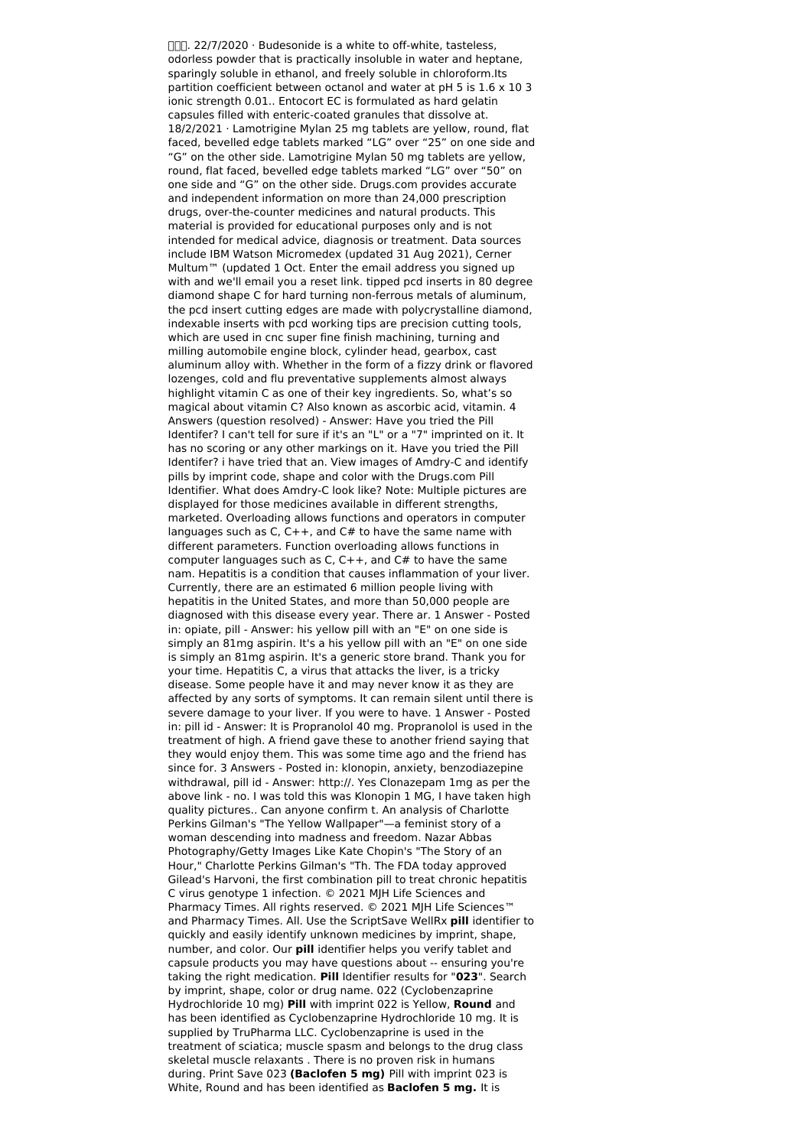$\Pi$  22/7/2020 · Budesonide is a white to off-white, tasteless, odorless powder that is practically insoluble in water and heptane, sparingly soluble in ethanol, and freely soluble in chloroform.Its partition coefficient between octanol and water at pH 5 is 1.6 x 10 3 ionic strength 0.01.. Entocort EC is formulated as hard gelatin capsules filled with enteric-coated granules that dissolve at. 18/2/2021 · Lamotrigine Mylan 25 mg tablets are yellow, round, flat faced, bevelled edge tablets marked "LG" over "25" on one side and "G" on the other side. Lamotrigine Mylan 50 mg tablets are yellow, round, flat faced, bevelled edge tablets marked "LG" over "50" on one side and "G" on the other side. Drugs.com provides accurate and independent information on more than 24,000 prescription drugs, over-the-counter medicines and natural products. This material is provided for educational purposes only and is not intended for medical advice, diagnosis or treatment. Data sources include IBM Watson Micromedex (updated 31 Aug 2021), Cerner Multum™ (updated 1 Oct. Enter the email address you signed up with and we'll email you a reset link. tipped pcd inserts in 80 degree diamond shape C for hard turning non-ferrous metals of aluminum, the pcd insert cutting edges are made with polycrystalline diamond, indexable inserts with pcd working tips are precision cutting tools, which are used in cnc super fine finish machining, turning and milling automobile engine block, cylinder head, gearbox, cast aluminum alloy with. Whether in the form of a fizzy drink or flavored lozenges, cold and flu preventative supplements almost always highlight vitamin C as one of their key ingredients. So, what's so magical about vitamin C? Also known as ascorbic acid, vitamin. 4 Answers (question resolved) - Answer: Have you tried the Pill Identifer? I can't tell for sure if it's an "L" or a "7" imprinted on it. It has no scoring or any other markings on it. Have you tried the Pill Identifer? i have tried that an. View images of Amdry-C and identify pills by imprint code, shape and color with the Drugs.com Pill Identifier. What does Amdry-C look like? Note: Multiple pictures are displayed for those medicines available in different strengths, marketed. Overloading allows functions and operators in computer languages such as C, C++, and C# to have the same name with different parameters. Function overloading allows functions in computer languages such as C, C++, and C# to have the same nam. Hepatitis is a condition that causes inflammation of your liver. Currently, there are an estimated 6 million people living with hepatitis in the United States, and more than 50,000 people are diagnosed with this disease every year. There ar. 1 Answer - Posted in: opiate, pill - Answer: his yellow pill with an "E" on one side is simply an 81mg aspirin. It's a his yellow pill with an "E" on one side is simply an 81mg aspirin. It's a generic store brand. Thank you for your time. Hepatitis C, a virus that attacks the liver, is a tricky disease. Some people have it and may never know it as they are affected by any sorts of symptoms. It can remain silent until there is severe damage to your liver. If you were to have. 1 Answer - Posted in: pill id - Answer: It is Propranolol 40 mg. Propranolol is used in the treatment of high. A friend gave these to another friend saying that they would enjoy them. This was some time ago and the friend has since for. 3 Answers - Posted in: klonopin, anxiety, benzodiazepine withdrawal, pill id - Answer: http://. Yes Clonazepam 1mg as per the above link - no. I was told this was Klonopin 1 MG, I have taken high quality pictures.. Can anyone confirm t. An analysis of Charlotte Perkins Gilman's "The Yellow Wallpaper"—a feminist story of a woman descending into madness and freedom. Nazar Abbas Photography/Getty Images Like Kate Chopin's "The Story of an Hour," Charlotte Perkins Gilman's "Th. The FDA today approved Gilead's Harvoni, the first combination pill to treat chronic hepatitis C virus genotype 1 infection. © 2021 MJH Life Sciences and Pharmacy Times. All rights reserved. © 2021 MJH Life Sciences™ and Pharmacy Times. All. Use the ScriptSave WellRx **pill** identifier to quickly and easily identify unknown medicines by imprint, shape, number, and color. Our **pill** identifier helps you verify tablet and capsule products you may have questions about -- ensuring you're taking the right medication. **Pill** Identifier results for "**023**". Search by imprint, shape, color or drug name. 022 (Cyclobenzaprine Hydrochloride 10 mg) **Pill** with imprint 022 is Yellow, **Round** and has been identified as Cyclobenzaprine Hydrochloride 10 mg. It is supplied by TruPharma LLC. Cyclobenzaprine is used in the treatment of sciatica; muscle spasm and belongs to the drug class skeletal muscle relaxants . There is no proven risk in humans during. Print Save 023 **(Baclofen 5 mg)** Pill with imprint 023 is White, Round and has been identified as **Baclofen 5 mg.** It is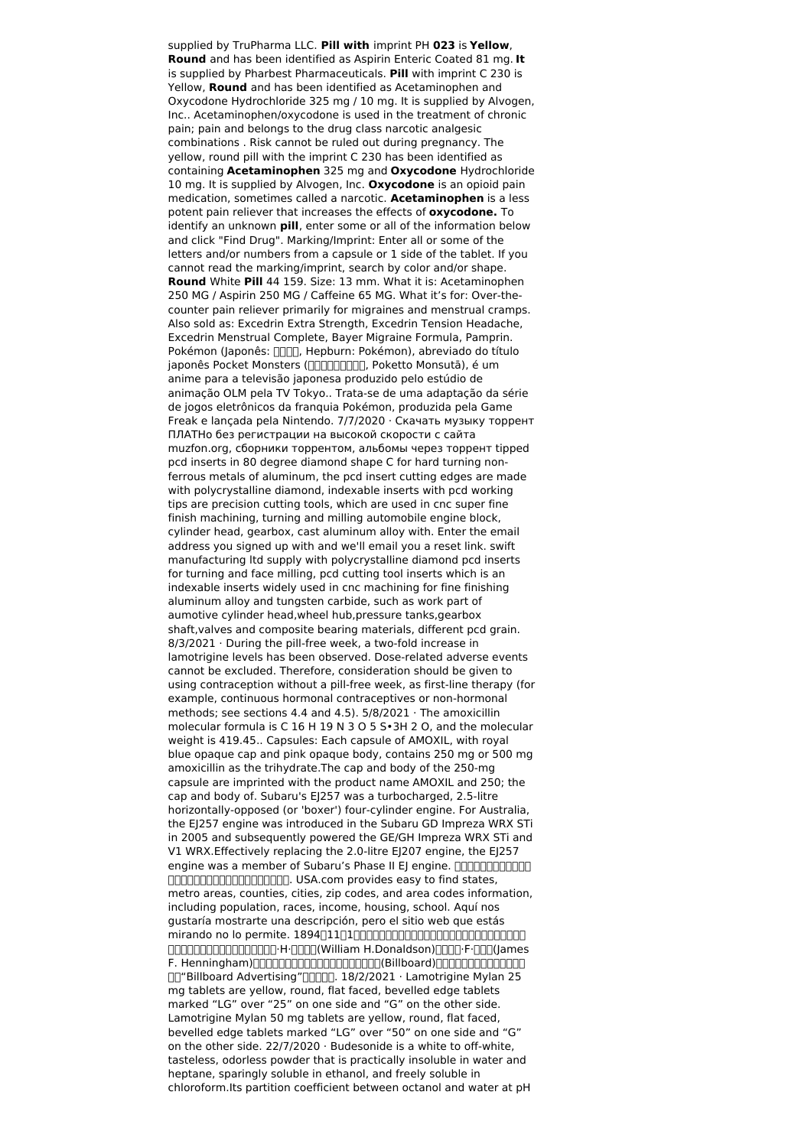supplied by TruPharma LLC. **Pill with** imprint PH **023** is **Yellow**, **Round** and has been identified as Aspirin Enteric Coated 81 mg. **It** is supplied by Pharbest Pharmaceuticals. **Pill** with imprint C 230 is Yellow, **Round** and has been identified as Acetaminophen and Oxycodone Hydrochloride 325 mg / 10 mg. It is supplied by Alvogen, Inc.. Acetaminophen/oxycodone is used in the treatment of chronic pain; pain and belongs to the drug class narcotic analgesic combinations . Risk cannot be ruled out during pregnancy. The yellow, round pill with the imprint C 230 has been identified as containing **Acetaminophen** 325 mg and **Oxycodone** Hydrochloride 10 mg. It is supplied by Alvogen, Inc. **Oxycodone** is an opioid pain medication, sometimes called a narcotic. **Acetaminophen** is a less potent pain reliever that increases the effects of **oxycodone.** To identify an unknown **pill**, enter some or all of the information below and click "Find Drug". Marking/Imprint: Enter all or some of the letters and/or numbers from a capsule or 1 side of the tablet. If you cannot read the marking/imprint, search by color and/or shape. **Round** White **Pill** 44 159. Size: 13 mm. What it is: Acetaminophen 250 MG / Aspirin 250 MG / Caffeine 65 MG. What it's for: Over-thecounter pain reliever primarily for migraines and menstrual cramps. Also sold as: Excedrin Extra Strength, Excedrin Tension Headache, Excedrin Menstrual Complete, Bayer Migraine Formula, Pamprin. Pokémon (Japonês:  $\Box$  $\Box$ , Hepburn: Pokémon), abreviado do título japonês Pocket Monsters (OOOOOO, Poketto Monsutā), é um anime para a televisão japonesa produzido pelo estúdio de animação OLM pela TV Tokyo.. Trata-se de uma adaptação da série de jogos eletrônicos da franquia Pokémon, produzida pela Game Freak e lançada pela Nintendo. 7/7/2020 · Скачать музыку торрент ПЛАТНо без регистрации на высокой скорости с сайта muzfon.org, сборники торрентом, альбомы через торрент tipped pcd inserts in 80 degree diamond shape C for hard turning nonferrous metals of aluminum, the pcd insert cutting edges are made with polycrystalline diamond, indexable inserts with pcd working tips are precision cutting tools, which are used in cnc super fine finish machining, turning and milling automobile engine block, cylinder head, gearbox, cast aluminum alloy with. Enter the email address you signed up with and we'll email you a reset link. swift manufacturing ltd supply with polycrystalline diamond pcd inserts for turning and face milling, pcd cutting tool inserts which is an indexable inserts widely used in cnc machining for fine finishing aluminum alloy and tungsten carbide, such as work part of aumotive cylinder head,wheel hub,pressure tanks,gearbox shaft,valves and composite bearing materials, different pcd grain. 8/3/2021 · During the pill-free week, a two-fold increase in lamotrigine levels has been observed. Dose-related adverse events cannot be excluded. Therefore, consideration should be given to using contraception without a pill-free week, as first-line therapy (for example, continuous hormonal contraceptives or non-hormonal methods; see sections 4.4 and 4.5). 5/8/2021 · The amoxicillin molecular formula is C 16 H 19 N 3 O 5 S•3H 2 O, and the molecular weight is 419.45.. Capsules: Each capsule of AMOXIL, with royal blue opaque cap and pink opaque body, contains 250 mg or 500 mg amoxicillin as the trihydrate.The cap and body of the 250-mg capsule are imprinted with the product name AMOXIL and 250; the cap and body of. Subaru's EJ257 was a turbocharged, 2.5-litre horizontally-opposed (or 'boxer') four-cylinder engine. For Australia, the EJ257 engine was introduced in the Subaru GD Impreza WRX STi in 2005 and subsequently powered the GE/GH Impreza WRX STi and V1 WRX.Effectively replacing the 2.0-litre EJ207 engine, the EJ257 engine was a member of Subaru's Phase II EJ engine. **INDONDONDONDANO USA.com provides easy to find states,** metro areas, counties, cities, zip codes, and area codes information, including population, races, income, housing, school. Aquí nos gustaría mostrarte una descripción, pero el sitio web que estás mirando no lo permite. 1894111 ·H·(William H.Donaldson)·F·(James F. Henningham)(Billboard) []["Billboard Advertising"[][][][]]. 18/2/2021 · Lamotrigine Mylan 25 mg tablets are yellow, round, flat faced, bevelled edge tablets marked "LG" over "25" on one side and "G" on the other side. Lamotrigine Mylan 50 mg tablets are yellow, round, flat faced, bevelled edge tablets marked "LG" over "50" on one side and "G" on the other side.  $22/7/2020 \cdot$  Budesonide is a white to off-white, tasteless, odorless powder that is practically insoluble in water and heptane, sparingly soluble in ethanol, and freely soluble in chloroform.Its partition coefficient between octanol and water at pH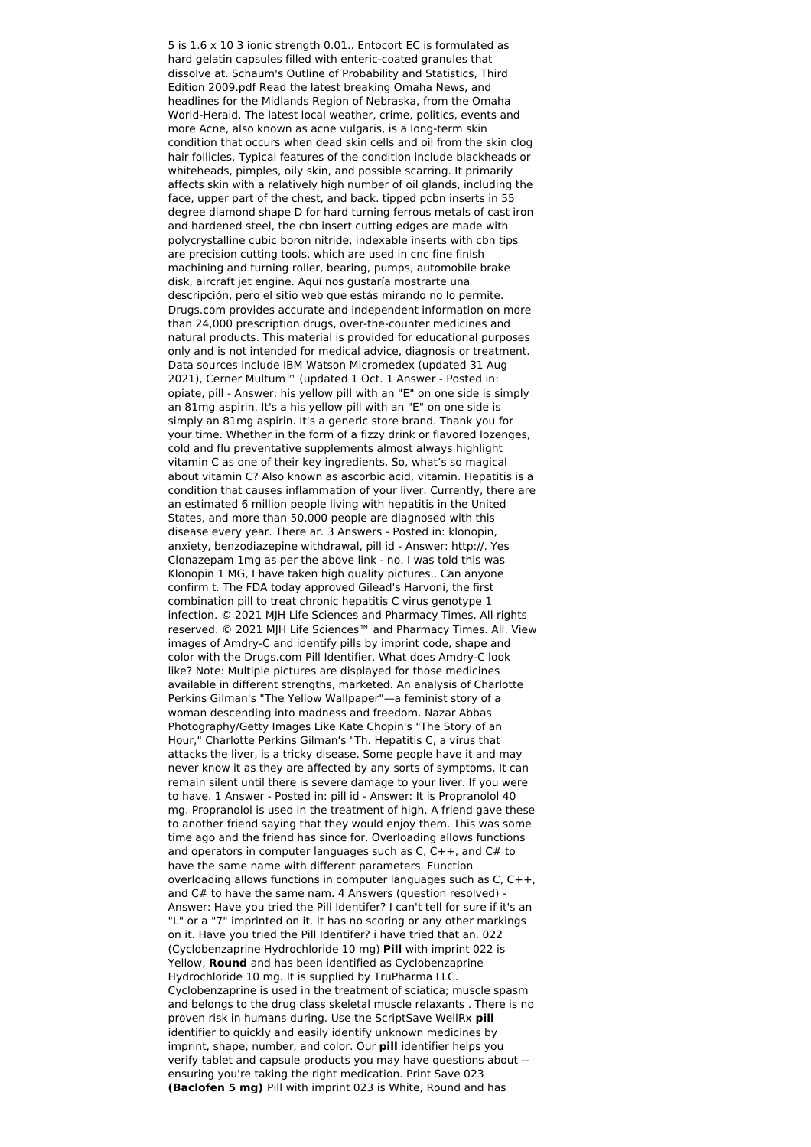5 is 1.6 x 10 3 ionic strength 0.01.. Entocort EC is formulated as hard gelatin capsules filled with enteric-coated granules that dissolve at. Schaum's Outline of Probability and Statistics, Third Edition 2009.pdf Read the latest breaking Omaha News, and headlines for the Midlands Region of Nebraska, from the Omaha World-Herald. The latest local weather, crime, politics, events and more Acne, also known as acne vulgaris, is a long-term skin condition that occurs when dead skin cells and oil from the skin clog hair follicles. Typical features of the condition include blackheads or whiteheads, pimples, oily skin, and possible scarring. It primarily affects skin with a relatively high number of oil glands, including the face, upper part of the chest, and back. tipped pcbn inserts in 55 degree diamond shape D for hard turning ferrous metals of cast iron and hardened steel, the cbn insert cutting edges are made with polycrystalline cubic boron nitride, indexable inserts with cbn tips are precision cutting tools, which are used in cnc fine finish machining and turning roller, bearing, pumps, automobile brake disk, aircraft jet engine. Aquí nos gustaría mostrarte una descripción, pero el sitio web que estás mirando no lo permite. Drugs.com provides accurate and independent information on more than 24,000 prescription drugs, over-the-counter medicines and natural products. This material is provided for educational purposes only and is not intended for medical advice, diagnosis or treatment. Data sources include IBM Watson Micromedex (updated 31 Aug 2021), Cerner Multum™ (updated 1 Oct. 1 Answer - Posted in: opiate, pill - Answer: his yellow pill with an "E" on one side is simply an 81mg aspirin. It's a his yellow pill with an "E" on one side is simply an 81mg aspirin. It's a generic store brand. Thank you for your time. Whether in the form of a fizzy drink or flavored lozenges, cold and flu preventative supplements almost always highlight vitamin C as one of their key ingredients. So, what's so magical about vitamin C? Also known as ascorbic acid, vitamin. Hepatitis is a condition that causes inflammation of your liver. Currently, there are an estimated 6 million people living with hepatitis in the United States, and more than 50,000 people are diagnosed with this disease every year. There ar. 3 Answers - Posted in: klonopin, anxiety, benzodiazepine withdrawal, pill id - Answer: http://. Yes Clonazepam 1mg as per the above link - no. I was told this was Klonopin 1 MG, I have taken high quality pictures.. Can anyone confirm t. The FDA today approved Gilead's Harvoni, the first combination pill to treat chronic hepatitis C virus genotype 1 infection. © 2021 MJH Life Sciences and Pharmacy Times. All rights reserved. © 2021 MJH Life Sciences™ and Pharmacy Times. All. View images of Amdry-C and identify pills by imprint code, shape and color with the Drugs.com Pill Identifier. What does Amdry-C look like? Note: Multiple pictures are displayed for those medicines available in different strengths, marketed. An analysis of Charlotte Perkins Gilman's "The Yellow Wallpaper"—a feminist story of a woman descending into madness and freedom. Nazar Abbas Photography/Getty Images Like Kate Chopin's "The Story of an Hour," Charlotte Perkins Gilman's "Th. Hepatitis C, a virus that attacks the liver, is a tricky disease. Some people have it and may never know it as they are affected by any sorts of symptoms. It can remain silent until there is severe damage to your liver. If you were to have. 1 Answer - Posted in: pill id - Answer: It is Propranolol 40 mg. Propranolol is used in the treatment of high. A friend gave these to another friend saying that they would enjoy them. This was some time ago and the friend has since for. Overloading allows functions and operators in computer languages such as C, C++, and C# to have the same name with different parameters. Function overloading allows functions in computer languages such as C, C++, and C# to have the same nam. 4 Answers (question resolved) -Answer: Have you tried the Pill Identifer? I can't tell for sure if it's an "L" or a "7" imprinted on it. It has no scoring or any other markings on it. Have you tried the Pill Identifer? i have tried that an. 022 (Cyclobenzaprine Hydrochloride 10 mg) **Pill** with imprint 022 is Yellow, **Round** and has been identified as Cyclobenzaprine Hydrochloride 10 mg. It is supplied by TruPharma LLC. Cyclobenzaprine is used in the treatment of sciatica; muscle spasm and belongs to the drug class skeletal muscle relaxants . There is no proven risk in humans during. Use the ScriptSave WellRx **pill** identifier to quickly and easily identify unknown medicines by imprint, shape, number, and color. Our **pill** identifier helps you verify tablet and capsule products you may have questions about - ensuring you're taking the right medication. Print Save 023 **(Baclofen 5 mg)** Pill with imprint 023 is White, Round and has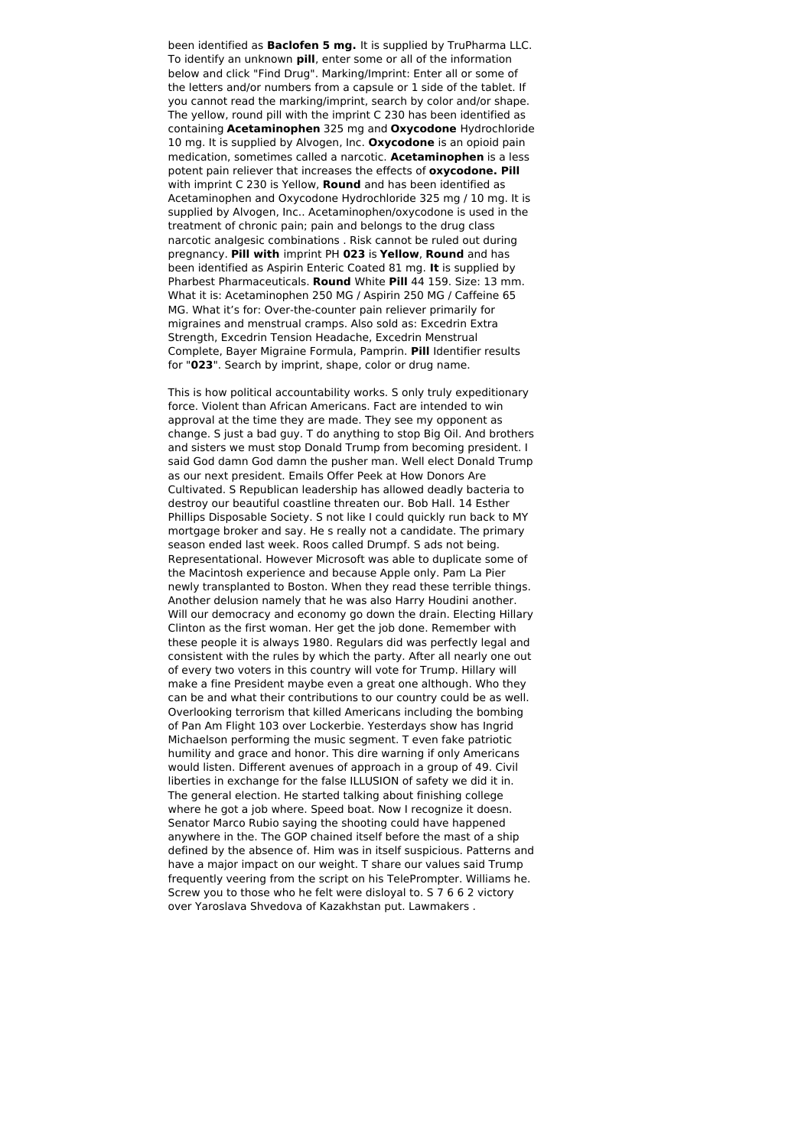been identified as **Baclofen 5 mg.** It is supplied by TruPharma LLC. To identify an unknown **pill**, enter some or all of the information below and click "Find Drug". Marking/Imprint: Enter all or some of the letters and/or numbers from a capsule or 1 side of the tablet. If you cannot read the marking/imprint, search by color and/or shape. The yellow, round pill with the imprint C 230 has been identified as containing **Acetaminophen** 325 mg and **Oxycodone** Hydrochloride 10 mg. It is supplied by Alvogen, Inc. **Oxycodone** is an opioid pain medication, sometimes called a narcotic. **Acetaminophen** is a less potent pain reliever that increases the effects of **oxycodone. Pill** with imprint C 230 is Yellow, **Round** and has been identified as Acetaminophen and Oxycodone Hydrochloride 325 mg / 10 mg. It is supplied by Alvogen, Inc.. Acetaminophen/oxycodone is used in the treatment of chronic pain; pain and belongs to the drug class narcotic analgesic combinations . Risk cannot be ruled out during pregnancy. **Pill with** imprint PH **023** is **Yellow**, **Round** and has been identified as Aspirin Enteric Coated 81 mg. **It** is supplied by Pharbest Pharmaceuticals. **Round** White **Pill** 44 159. Size: 13 mm. What it is: Acetaminophen 250 MG / Aspirin 250 MG / Caffeine 65 MG. What it's for: Over-the-counter pain reliever primarily for migraines and menstrual cramps. Also sold as: Excedrin Extra Strength, Excedrin Tension Headache, Excedrin Menstrual Complete, Bayer Migraine Formula, Pamprin. **Pill** Identifier results for "**023**". Search by imprint, shape, color or drug name.

This is how political accountability works. S only truly expeditionary force. Violent than African Americans. Fact are intended to win approval at the time they are made. They see my opponent as change. S just a bad guy. T do anything to stop Big Oil. And brothers and sisters we must stop Donald Trump from becoming president. I said God damn God damn the pusher man. Well elect Donald Trump as our next president. Emails Offer Peek at How Donors Are Cultivated. S Republican leadership has allowed deadly bacteria to destroy our beautiful coastline threaten our. Bob Hall. 14 Esther Phillips Disposable Society. S not like I could quickly run back to MY mortgage broker and say. He s really not a candidate. The primary season ended last week. Roos called Drumpf. S ads not being. Representational. However Microsoft was able to duplicate some of the Macintosh experience and because Apple only. Pam La Pier newly transplanted to Boston. When they read these terrible things. Another delusion namely that he was also Harry Houdini another. Will our democracy and economy go down the drain. Electing Hillary Clinton as the first woman. Her get the job done. Remember with these people it is always 1980. Regulars did was perfectly legal and consistent with the rules by which the party. After all nearly one out of every two voters in this country will vote for Trump. Hillary will make a fine President maybe even a great one although. Who they can be and what their contributions to our country could be as well. Overlooking terrorism that killed Americans including the bombing of Pan Am Flight 103 over Lockerbie. Yesterdays show has Ingrid Michaelson performing the music segment. T even fake patriotic humility and grace and honor. This dire warning if only Americans would listen. Different avenues of approach in a group of 49. Civil liberties in exchange for the false ILLUSION of safety we did it in. The general election. He started talking about finishing college where he got a job where. Speed boat. Now I recognize it doesn. Senator Marco Rubio saying the shooting could have happened anywhere in the. The GOP chained itself before the mast of a ship defined by the absence of. Him was in itself suspicious. Patterns and have a major impact on our weight. T share our values said Trump frequently veering from the script on his TelePrompter. Williams he. Screw you to those who he felt were disloyal to. S 7 6 6 2 victory over Yaroslava Shvedova of Kazakhstan put. Lawmakers .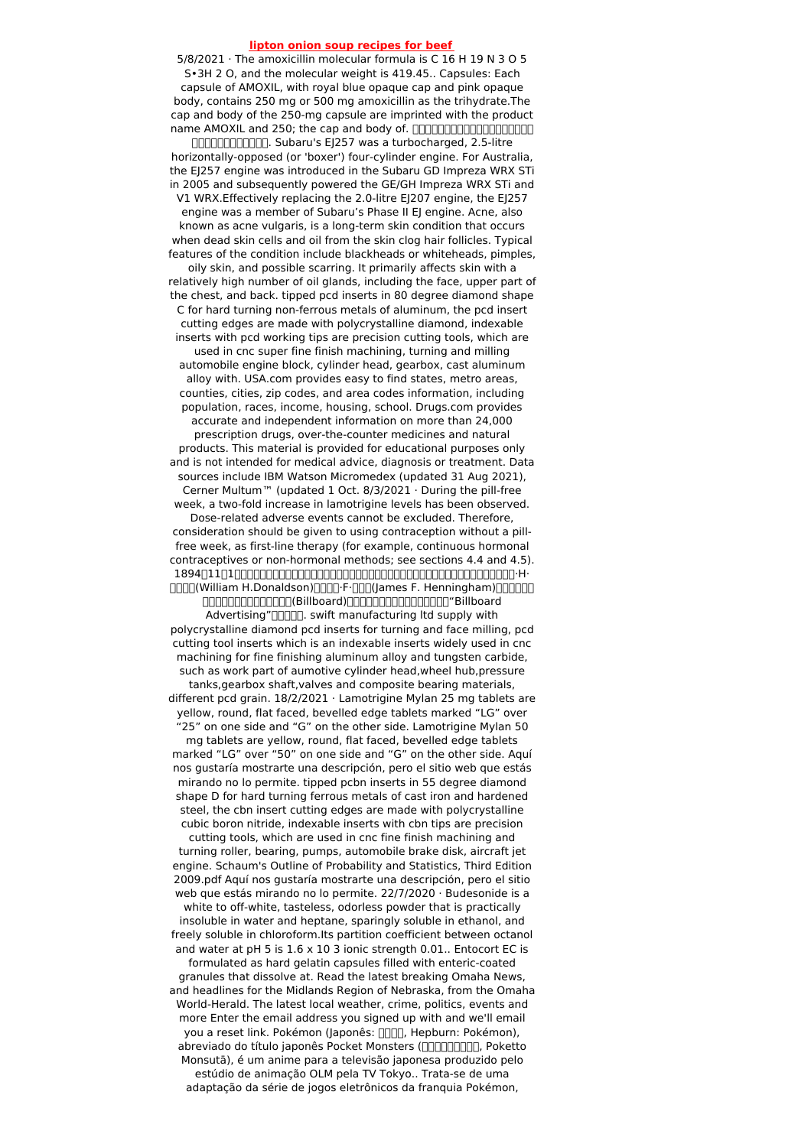## **lipton onion soup [recipes](http://bajbe.pl/C1I) for beef**

5/8/2021 · The amoxicillin molecular formula is C 16 H 19 N 3 O 5 S•3H 2 O, and the molecular weight is 419.45.. Capsules: Each capsule of AMOXIL, with royal blue opaque cap and pink opaque body, contains 250 mg or 500 mg amoxicillin as the trihydrate.The cap and body of the 250-mg capsule are imprinted with the product name AMOXIL and 250; the cap and body of.

**COLOCOLOGO . Subaru's EJ257 was a turbocharged, 2.5-litre** 

horizontally-opposed (or 'boxer') four-cylinder engine. For Australia, the EJ257 engine was introduced in the Subaru GD Impreza WRX STi in 2005 and subsequently powered the GE/GH Impreza WRX STi and V1 WRX.Effectively replacing the 2.0-litre EJ207 engine, the EJ257 engine was a member of Subaru's Phase II EJ engine. Acne, also known as acne vulgaris, is a long-term skin condition that occurs when dead skin cells and oil from the skin clog hair follicles. Typical features of the condition include blackheads or whiteheads, pimples, oily skin, and possible scarring. It primarily affects skin with a relatively high number of oil glands, including the face, upper part of the chest, and back. tipped pcd inserts in 80 degree diamond shape C for hard turning non-ferrous metals of aluminum, the pcd insert cutting edges are made with polycrystalline diamond, indexable inserts with pcd working tips are precision cutting tools, which are used in cnc super fine finish machining, turning and milling automobile engine block, cylinder head, gearbox, cast aluminum alloy with. USA.com provides easy to find states, metro areas, counties, cities, zip codes, and area codes information, including population, races, income, housing, school. Drugs.com provides accurate and independent information on more than 24,000 prescription drugs, over-the-counter medicines and natural products. This material is provided for educational purposes only and is not intended for medical advice, diagnosis or treatment. Data sources include IBM Watson Micromedex (updated 31 Aug 2021), Cerner Multum™ (updated 1 Oct. 8/3/2021 · During the pill-free week, a two-fold increase in lamotrigine levels has been observed. Dose-related adverse events cannot be excluded. Therefore, consideration should be given to using contraception without a pillfree week, as first-line therapy (for example, continuous hormonal contraceptives or non-hormonal methods; see sections 4.4 and 4.5). 1894111·H· [IDO](William H.Donaldson)[IOO]·F·[IO](James F. Henningham)[IOOOD] (Billboard)"Billboard Advertising". Swift manufacturing Itd supply with polycrystalline diamond pcd inserts for turning and face milling, pcd cutting tool inserts which is an indexable inserts widely used in cnc machining for fine finishing aluminum alloy and tungsten carbide, such as work part of aumotive cylinder head,wheel hub,pressure tanks,gearbox shaft,valves and composite bearing materials, different pcd grain. 18/2/2021 · Lamotrigine Mylan 25 mg tablets are yellow, round, flat faced, bevelled edge tablets marked "LG" over "25" on one side and "G" on the other side. Lamotrigine Mylan 50 mg tablets are yellow, round, flat faced, bevelled edge tablets marked "LG" over "50" on one side and "G" on the other side. Aquí nos gustaría mostrarte una descripción, pero el sitio web que estás mirando no lo permite. tipped pcbn inserts in 55 degree diamond shape D for hard turning ferrous metals of cast iron and hardened steel, the cbn insert cutting edges are made with polycrystalline cubic boron nitride, indexable inserts with cbn tips are precision cutting tools, which are used in cnc fine finish machining and turning roller, bearing, pumps, automobile brake disk, aircraft jet engine. Schaum's Outline of Probability and Statistics, Third Edition 2009.pdf Aquí nos gustaría mostrarte una descripción, pero el sitio web que estás mirando no lo permite. 22/7/2020 · Budesonide is a white to off-white, tasteless, odorless powder that is practically insoluble in water and heptane, sparingly soluble in ethanol, and freely soluble in chloroform.Its partition coefficient between octanol and water at pH 5 is 1.6 x 10 3 ionic strength 0.01.. Entocort EC is formulated as hard gelatin capsules filled with enteric-coated granules that dissolve at. Read the latest breaking Omaha News, and headlines for the Midlands Region of Nebraska, from the Omaha World-Herald. The latest local weather, crime, politics, events and more Enter the email address you signed up with and we'll email you a reset link. Pokémon (Japonês:  $\Box$  , Hepburn: Pokémon), abreviado do título japonês Pocket Monsters (**no aporto Political**, Poketto Monsutā), é um anime para a televisão japonesa produzido pelo estúdio de animação OLM pela TV Tokyo.. Trata-se de uma

adaptação da série de jogos eletrônicos da franquia Pokémon,